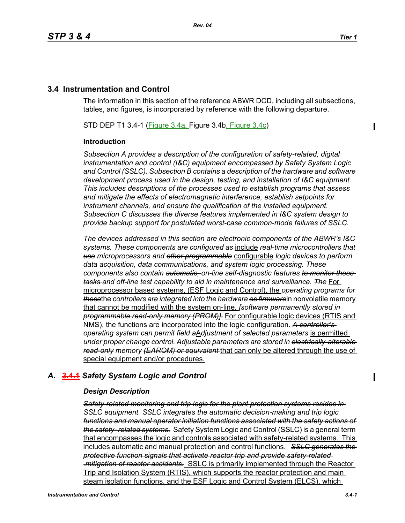# **3.4 Instrumentation and Control**

The information in this section of the reference ABWR DCD, including all subsections, tables, and figures, is incorporated by reference with the following departure.

STD DEP T1 3.4-1 (Figure 3.4a, Figure 3.4b, Figure 3.4c)

## **Introduction**

*Subsection A provides a description of the configuration of safety-related, digital instrumentation and control (I&C) equipment encompassed by Safety System Logic and Control (SSLC). Subsection B contains a description of the hardware and software development process used in the design, testing, and installation of I&C equipment. This includes descriptions of the processes used to establish programs that assess and mitigate the effects of electromagnetic interference, establish setpoints for instrument channels, and ensure the qualification of the installed equipment. Subsection C discusses the diverse features implemented in I&C system design to provide backup support for postulated worst-case common-mode failures of SSLC.*

*The devices addressed in this section are electronic components of the ABWR's I&C systems. These components are configured as* include *real-time microcontrollers that use microprocessors and other programmable* configurable *logic devices to perform data acquisition, data communications, and system logic processing. These components also contain automatic, on-line self-diagnostic features to monitor these tasks and off-line test capability to aid in maintenance and surveillance. The* For microprocessor based systems, (ESF Logic and Control), the *operating programs for these*the *controllers are integrated into the hardware as firmware*in nonvolatile memory that cannot be modified with the system on-line. *[software permanently stored in programmable read-only memory (PROM)].* For configurable logic devices (RTIS and NMS), the functions are incorporated into the logic configuration. *A controller's operating system can permit field a*A*djustment of selected parameters* is permitted *under proper change control. Adjustable parameters are stored in electrically-alterable read-only memory (EAROM) or equivalent* that can only be altered through the use of special equipment and/or procedures.

## *A.* **3.4.1** *Safety System Logic and Control*

## *Design Description*

*Safety-related monitoring and trip logic for the plant protection systems resides in SSLC equipment. SSLC integrates the automatic decision-making and trip logic functions and manual operator initiation functions associated with the safety actions of the safety- related systems.* Safety System Logic and Control (SSLC) is a general term that encompasses the logic and controls associated with safety-related systems. This includes automatic and manual protection and control functions. *SSLC generates the protective function signals that activate reactor trip and provide safety-related .mitigation of reactor accidents.* SSLC is primarily implemented through the Reactor Trip and Isolation System (RTIS), which supports the reactor protection and main steam isolation functions, and the ESF Logic and Control System (ELCS), which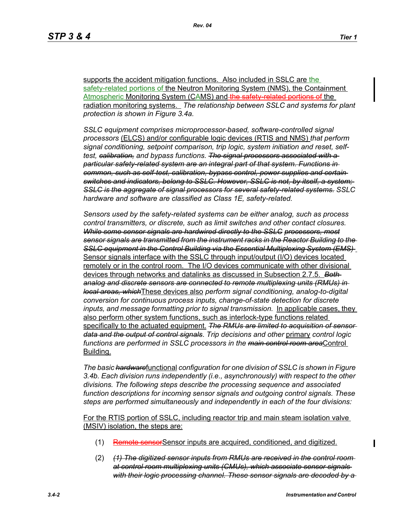supports the accident mitigation functions. Also included in SSLC are the safety-related portions of the Neutron Monitoring System (NMS), the Containment Atmospheric Monitoring System (CAMS) and the safety related portions of the radiation monitoring systems. *The relationship between SSLC and systems for plant protection is shown in Figure 3.4a.*

*SSLC equipment comprises microprocessor-based, software-controlled signal processors* (ELCS) and/or configurable logic devices (RTIS and NMS) *that perform signal conditioning, setpoint comparison, trip logic, system initiation and reset, selftest, calibration, and bypass functions. The signal processors associated with a particular safety-related system are an integral part of that system. Functions in common, such as self-test, calibration, bypass control, power supplies and certain switches and indicators, belong to SSLC. However, SSLC is not, by itself, a system; SSLC is the aggregate of signal processors for several safety-related systems. SSLC hardware and software are classified as Class 1E, safety-related.*

*Sensors used by the safety-related systems can be either analog, such as process control transmitters, or discrete, such as limit switches and other contact closures. While some sensor signals are hardwired directly to the SSLC processors, most sensor signals are transmitted from the instrument racks in the Reactor Building to the SSLC equipment in the Control Building via the Essential Multiplexing System (EMS)*  Sensor signals interface with the SSLC through input/output (I/O) devices located remotely or in the control room. The I/O devices communicate with other divisional devices through networks and datalinks as discussed in Subsection 2.7.5. *Both analog and discrete sensors are connected to remote multiplexing units (RMUs) in local areas, which*These devices also *perform signal conditioning, analog-to-digital conversion for continuous process inputs, change-of-state detection for discrete inputs, and message formatting prior to signal transmission.* In applicable cases, they also perform other system functions, such as interlock-type functions related specifically to the actuated equipment. *The RMUs are limited to acquisition of sensor data and the output of control signals*. *Trip decisions and other* primary *control logic functions are performed in SSLC processors in the main control room area*Control Building.

*The basic hardware*functional *configuration for one division of SSLC is shown in Figure 3.4b. Each division runs independently (i.e., asynchronously) with respect to the other divisions. The following steps describe the processing sequence and associated function descriptions for incoming sensor signals and outgoing control signals. These steps are performed simultaneously and independently in each of the four divisions:*

For the RTIS portion of SSLC, including reactor trip and main steam isolation valve (MSIV) isolation, the steps are:

- (1) Remote sensor Sensor inputs are acquired, conditioned, and digitized.
- (2) *(1) The digitized sensor inputs from RMUs are received in the control room at control room multiplexing units (CMUs), which associate sensor signals with their logic processing channel. These sensor signals are decoded by a*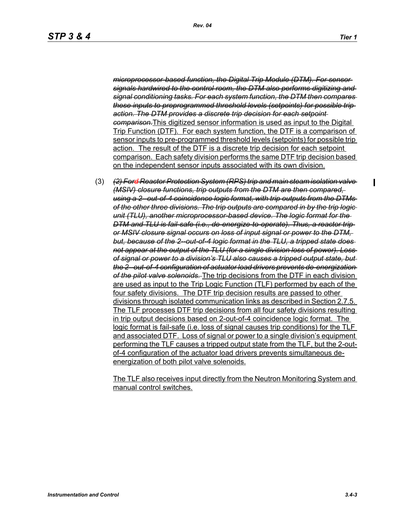*microprocessor-based function, the Digital Trip Module (DTM). For sensor signals hardwired to the control room, the DTM also performs digitizing and signal conditioning tasks. For each system function, the DTM then compares these inputs to preprogrammed threshold levels (setpoints) for possible trip action. The DTM provides a discrete trip decision for each setpoint comparison.*This digitized sensor information is used as input to the Digital Trip Function (DTF). For each system function, the DTF is a comparison of sensor inputs to pre-programmed threshold levels (setpoints) for possible trip action. The result of the DTF is a discrete trip decision for each setpoint comparison. Each safety division performs the same DTF trip decision based on the independent sensor inputs associated with its own division.

(3) *(2) Ford Reactor Protection System (RPS) trip and main steam isolation valve (MSIV) closure functions, trip outputs from the DTM are then compared, using a 2--out-of-4 coincidence logic format, with trip outputs from the DTMs of the other three divisions. The trip outputs are compared in by the trip logic unit (TLU), another microprocessor-based device. The logic format for the DTM and TLU is fail-safe (i.e., de-energize-to-operate). Thus, a reactor trip or MSIV closure signal occurs on loss of input signal or power to the DTM,*  but, because of the 2-out-of-4 logic format in the TLU, a tripped state does *not appear at the output of the TLU (for a single division loss of power). Loss of signal or power to a division's TLU also causes a tripped output state, but the 2--out-of-4 configuration of actuator load drivers prevents de-energization of the pilot valve solenoids.* The trip decisions from the DTF in each division are used as input to the Trip Logic Function (TLF) performed by each of the four safety divisions. The DTF trip decision results are passed to other divisions through isolated communication links as described in Section 2.7.5. The TLF processes DTF trip decisions from all four safety divisions resulting in trip output decisions based on 2-out-of-4 coincidence logic format. The logic format is fail-safe (i.e. loss of signal causes trip conditions) for the TLF and associated DTF. Loss of signal or power to a single division's equipment performing the TLF causes a tripped output state from the TLF, but the 2-outof-4 configuration of the actuator load drivers prevents simultaneous deenergization of both pilot valve solenoids.

The TLF also receives input directly from the Neutron Monitoring System and manual control switches.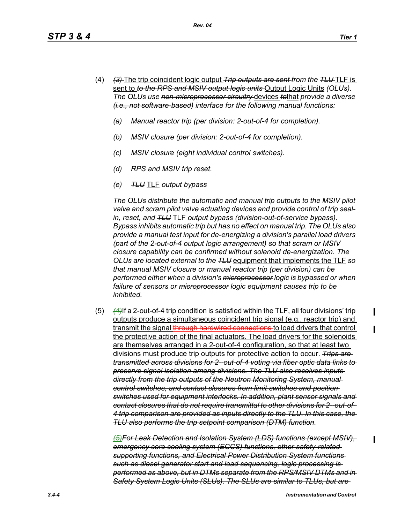- (4) *(3)* The trip coincident logic output *Trip outputs are sent from the TLU* TLF is sent to *to the RPS and MSIV output logic units* Output Logic Units *(OLUs). The OLUs use non-microprocessor circuitry* devices *to*that *provide a diverse (i.e., not software-based) interface for the following manual functions:*
	- *(a) Manual reactor trip (per division: 2-out-of-4 for completion).*
	- *(b) MSIV closure (per division: 2-out-of-4 for completion).*
	- *(c) MSIV closure (eight individual control switches).*
	- *(d) RPS and MSIV trip reset.*
	- *(e) TLU* TLF *output bypass*

*The OLUs distribute the automatic and manual trip outputs to the MSIV pilot valve and scram pilot valve actuating devices and provide control of trip sealin, reset, and TLU* TLF *output bypass (division-out-of-service bypass). Bypass inhibits automatic trip but has no effect on manual trip. The OLUs also provide a manual test input for de-energizing a division's parallel load drivers (part of the 2-out-of-4 output logic arrangement) so that scram or MSIV closure capability can be confirmed without solenoid de-energization. The OLUs are located external to the TLU* equipment that implements the TLF *so that manual MSIV closure or manual reactor trip (per division) can be performed either when a division's microprocessor logic is bypassed or when*  failure of sensors or *microprocessor* logic equipment causes trip to be *inhibited.*

(5) *(4)*If a 2-out-of-4 trip condition is satisfied within the TLF, all four divisions' trip outputs produce a simultaneous coincident trip signal (e.g., reactor trip) and transmit the signal through hardwired connections to load drivers that control the protective action of the final actuators. The load drivers for the solenoids are themselves arranged in a 2-out-of-4 configuration, so that at least two divisions must produce trip outputs for protective action to occur. *Trips are transmitted across divisions for 2--out-of-4 voting via fiber optic data links to preserve signal isolation among divisions. The TLU also receives inputs directly from the trip outputs of the Neutron Monitoring System, manual control switches, and contact closures from limit switches and position switches used for equipment interlocks. In addition, plant sensor signals and contact closures that do not require transmittal to other divisions for 2--out-of-4 trip comparison are provided as inputs directly to the TLU. In this case, the TLU also performs the trip setpoint comparison (DTM) function.*

*(5)For Leak Detection and Isolation System (LDS) functions (except MSIV), emergency core cooling system (ECCS) functions, other safety-related supporting functions, and Electrical Power Distribution System functions such as diesel generator start and load sequencing, logic processing is performed as above, but in DTMs separate from the RPS/MSIV DTMs and in Safety System Logic Units (SLUs). The SLUs are similar to TLUs, but are*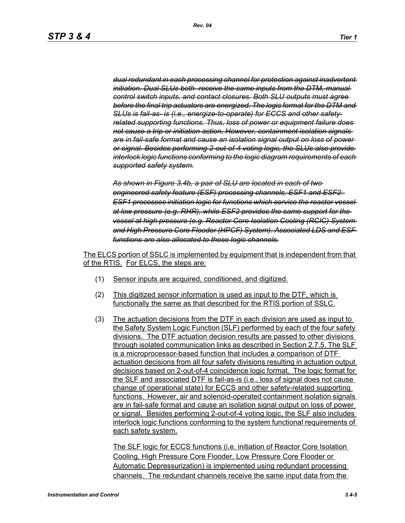*dual redundant in each processing channel for protection against inadvertent initiation. Dual SLUs both receive the same inputs from the DTM, manual control switch inputs, and contact closures. Both SLU outputs must agree before the final trip actuators are energized. The logic format for the DTM and SLUs is fail-as- is (i.e., energize-to-operate) for ECCS and other safetyrelated supporting functions. Thus, loss of power or equipment failure does not cause a trip or initiation action. However, containment isolation signals are in fail-safe format and cause an isolation signal output on loss of power or signal. Besides performing 2-out-of-4 voting logic, the SLUs also provide interlock logic functions conforming to the logic diagram requirements of each supported safety system.*

*As shown in Figure 3.4b, a pair of SLU are located in each of two engineered safety feature (ESF) processing channels, ESF1 and ESF2. ESF1 processes initiation logic for functions which service the reactor vessel at low pressure (e.g. RHR), while ESF2 provides the same support for the vessel at high pressure (e.g. Reactor Core Isolation Cooling (RCIC) System and High Pressure Core Flooder (HPCF) System). Associated LDS and ESF functions are also allocated to these logic channels.*

The ELCS portion of SSLC is implemented by equipment that is independent from that of the RTIS. For ELCS, the steps are:

- (1) Sensor inputs are acquired, conditioned, and digitized.
- (2) This digitized sensor information is used as input to the DTF, which is functionally the same as that described for the RTIS portion of SSLC.
- (3) The actuation decisions from the DTF in each division are used as input to the Safety System Logic Function (SLF) performed by each of the four safety divisions. The DTF actuation decision results are passed to other divisions through isolated communication links as described in Section 2.7.5. The SLF is a microprocessor-based function that includes a comparison of DTF actuation decisions from all four safety divisions resulting in actuation output decisions based on 2-out-of-4 coincidence logic format. The logic format for the SLF and associated DTF is fail-as-is (i.e., loss of signal does not cause change of operational state) for ECCS and other safety-related supporting functions. However, air and solenoid-operated containment isolation signals are in fail-safe format and cause an isolation signal output on loss of power or signal. Besides performing 2-out-of-4 voting logic, the SLF also includes interlock logic functions conforming to the system functional requirements of each safety system.

The SLF logic for ECCS functions (i.e. initiation of Reactor Core Isolation Cooling, High Pressure Core Flooder, Low Pressure Core Flooder or Automatic Depressurization) is implemented using redundant processing channels. The redundant channels receive the same input data from the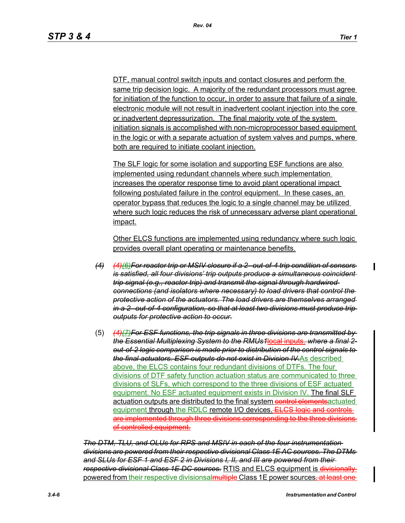DTF, manual control switch inputs and contact closures and perform the same trip decision logic. A majority of the redundant processors must agree for initiation of the function to occur, in order to assure that failure of a single electronic module will not result in inadvertent coolant injection into the core or inadvertent depressurization. The final majority vote of the system initiation signals is accomplished with non-microprocessor based equipment in the logic or with a separate actuation of system valves and pumps, where both are required to initiate coolant injection.

The SLF logic for some isolation and supporting ESF functions are also implemented using redundant channels where such implementation increases the operator response time to avoid plant operational impact following postulated failure in the control equipment. In these cases, an operator bypass that reduces the logic to a single channel may be utilized where such logic reduces the risk of unnecessary adverse plant operational impact.

Other ELCS functions are implemented using redundancy where such logic provides overall plant operating or maintenance benefits.

- *(4) (4)(6)For reactor trip or MSIV closure if a 2--out-of-4 trip condition of sensors is satisfied, all four divisions' trip outputs produce a simultaneous coincident trip signal (e.g., reactor trip) and transmit the signal through hardwired connections (and isolators where necessary) to load drivers that control the protective action of the actuators. The load drivers are themselves arranged in a 2--out-of-4 configuration, so that at least two divisions must produce trip outputs for protective action to occur.*
- (5) *(4)(7)For ESF functions, the trip signals in three divisions are transmitted by the Essential Multiplexing System to the RMUs1*local inputs. *where a final 2 out-of-2 logic comparison is made prior to distribution of the control signals to the final actuators. ESF outputs do not exist in Division IV.*As described above, the ELCS contains four redundant divisions of DTFs. The four divisions of DTF safety function actuation status are communicated to three divisions of SLFs, which correspond to the three divisions of ESF actuated equipment. No ESF actuated equipment exists in Division IV. The final SLF actuation outputs are distributed to the final system control elements actuated equipment through the RDLC remote I/O devices. ELCS logic and controls are implemented through three divisions corresponding to the three divisions of controlled equipment.

*The DTM, TLU, and OLUs for RPS and MSIV in each of the four instrumentation divisions are powered from their respective divisional Class 1E AC sources. The DTMs and SLUs for ESF 1 and ESF 2 in Divisions I, II, and III are powered from their respective divisional Class 1E DC sources.* RTIS and ELCS equipment is divisionally powered from their respective divisionsal multiple Class 1E power sources<del>, at least one</del>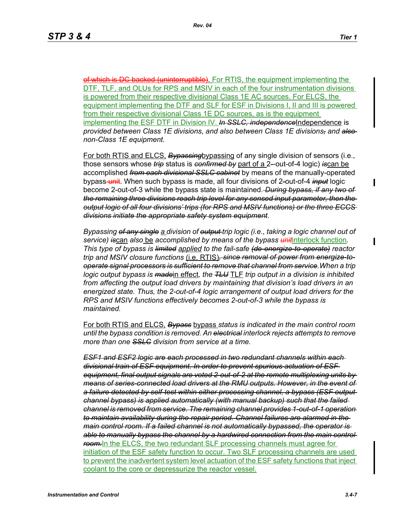of which is DG backed (uninterruptible). For RTIS, the equipment implementing the DTF, TLF, and OLUs for RPS and MSIV in each of the four instrumentation divisions is powered from their respective divisional Class 1E AC sources. For ELCS, the equipment implementing the DTF and SLF for ESF in Divisions I, II and III is powered from their respective divisional Class 1E DC sources, as is the equipment implementing the ESF DTF in Division IV. *In SSLC, independence*Independence is *provided between Class 1E divisions, and also between Class 1E divisions, and also non-Class 1E equipment.*

For both RTIS and ELCS, *Bypassing*bypassing of any single division of sensors (i.e., those sensors whose *trip* status is *confirmed by* part of a 2*-*-out-of-4 logic) *is*can be accomplished *from each divisional SSLC cabinet* by means of the manually-operated bypass-unit. When such bypass is made, all four divisions of 2-out-of-4 *input* logic become 2-out-of-3 while the bypass state is maintained. *During bypass, if any two of the remaining three divisions reach trip level for any sensed input parameter, then the output logic of all four divisions' trips (for RPS and MSIV functions) or the three ECCS divisions initiate the appropriate safety system equipment*.

*Bypassing of any single a division of output trip logic (i.e., taking a logic channel out of service) is*can *also* be *accomplished by means of the bypass unit*interlock function*. This type of bypass is limited applied to the fail-safe (de-energize-to-operate) reactor trip and MSIV closure functions* (i.e. RTIS)*, since removal of power from energize-tooperate signal processors is sufficient to remove that channel from service.When a trip logic output bypass is made*in effect*, the TLU* TLF *trip output in a division is inhibited from affecting the output load drivers by maintaining that division's load drivers in an energized state. Thus, the 2-out-of-4 logic arrangement of output load drivers for the RPS and MSIV functions effectively becomes 2-out-of-3 while the bypass is maintained.*

For both RTIS and ELCS, *Bypass* bypass *status is indicated in the main control room until the bypass condition is removed. An electrical interlock rejects attempts to remove more than one SSLC division from service at a time.*

*ESF1 and ESF2 logic are each processed in two redundant channels within each divisional train of ESF equipment. In order to prevent spurious actuation of ESF equipment, final output signals are voted 2-out-of-2 at the remote multiplexing units by means of series-connected load drivers at the RMU outputs. However, in the event of a failure detected by self-test within either processing channel, a bypass (ESF output channel bypass) is applied automatically (with manual backup) such that the failed channel is removed from service. The remaining channel provides 1-out-of-1 operation to maintain availability during the repair period. Channel failures are alarmed in the main control room. If a failed channel is not automatically bypassed, the operator is able to manually bypass the channel by a hardwired connection from the main control room.*In the ELCS, the two redundant SLF processing channels must agree for initiation of the ESF safety function to occur. Two SLF processing channels are used to prevent the inadvertent system level actuation of the ESF safety functions that inject coolant to the core or depressurize the reactor vessel.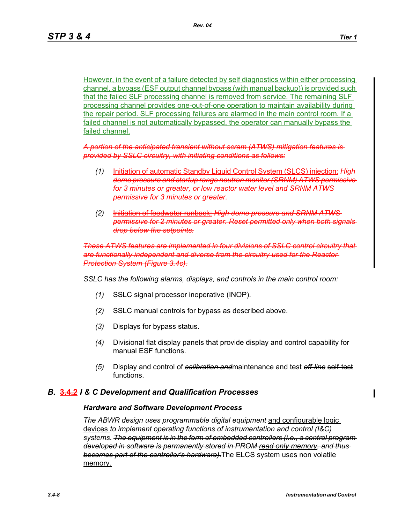However, in the event of a failure detected by self diagnostics within either processing channel, a bypass (ESF output channel bypass (with manual backup)) is provided such that the failed SLF processing channel is removed from service. The remaining SLF processing channel provides one-out-of-one operation to maintain availability during the repair period. SLF processing failures are alarmed in the main control room. If a failed channel is not automatically bypassed, the operator can manually bypass the failed channel.

*A portion of the anticipated transient without scram (ATWS) mitigation features is provided by SSLC circuitry, with initiating conditions as follows:*

- *(1)* Initiation of automatic Standby Liquid Control System *(SI dome pressure and startup range neutron monitor (SRNM) ATWS permissive for 3 minutes or greater, or low reactor water level and SRNM ATWS permissive for 3 minutes or greater.*
- *(2)* Initiation of feedwater runback: *High dome pressure and SRNM ATWS permissive for 2 minutes or greater. Reset permitted only when both signals drop below the setpoints.*

*These ATWS features are implemented in four divisions of SSLC control circuitry that are functionally independent and diverse from the circuitry used for the Reactor Protection System (Figure 3.4c).*

*SSLC has the following alarms, displays, and controls in the main control room:*

- *(1)* SSLC signal processor inoperative (INOP).
- *(2)* SSLC manual controls for bypass as described above.
- *(3)* Displays for bypass status.
- *(4)* Divisional flat display panels that provide display and control capability for manual ESF functions.
- *(5)* Display and control of *calibration and*maintenance and test *off-line* self-test functions.

#### *B.* **3.4.2** *I & C Development and Qualification Processes*

#### *Hardware and Software Development Process*

*The ABWR design uses programmable digital equipment* and configurable logic devices *to implement operating functions of instrumentation and control (I&C) systems. The equipment is in the form of embedded controllers (i.e., a control program developed in software is permanently stored in PROM read only memory, and thus becomes part of the controller's hardware).*The ELCS system uses non volatile memory.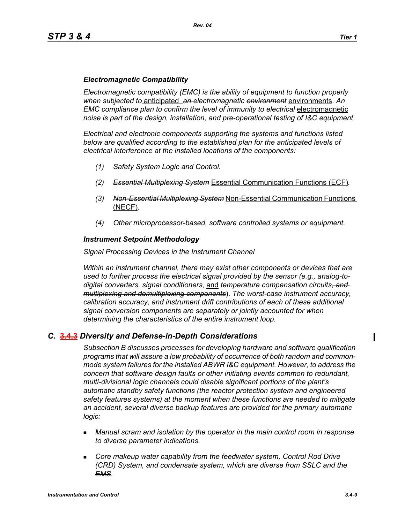### *Electromagnetic Compatibility*

*Electromagnetic compatibility (EMC) is the ability of equipment to function properly when subjected to* anticipated *an electromagnetic environment* environments. *An EMC compliance plan to confirm the level of immunity to electrical* electromagnetic *noise is part of the design, installation, and pre-operational testing of I&C equipment*.

*Electrical and electronic components supporting the systems and functions listed below are qualified according to the established plan for the anticipated levels of electrical interference at the installed locations of the components:*

- *(1) Safety System Logic and Control.*
- *(2) Essential Multiplexing System* Essential Communication Functions (ECF)*.*
- *(3) Non-Essential Multiplexing System* Non-Essential Communication Functions (NECF)*.*
- *(4) Other microprocessor-based, software controlled systems or equipment.*

#### *Instrument Setpoint Methodology*

#### *Signal Processing Devices in the Instrument Channel*

*Within an instrument channel, there may exist other components or devices that are used to further process the electrical signal provided by the sensor (e.g., analog-todigital converters, signal conditioners,* and *temperature compensation circuits, and multiplexing and demultiplexing components*). *The worst-case instrument accuracy, calibration accuracy, and instrument drift contributions of each of these additional signal conversion components are separately or jointly accounted for when determining the characteristics of the entire instrument loop.*

#### *C.* **3.4.3** *Diversity and Defense-in-Depth Considerations*

*Subsection B discusses processes for developing hardware and software qualification programs that will assure a low probability of occurrence of both random and commonmode system failures for the installed ABWR I&C equipment. However, to address the concern that software design faults or other initiating events common to redundant, multi-divisional logic channels could disable significant portions of the plant's automatic standby safety functions (the reactor protection system and engineered safety features systems) at the moment when these functions are needed to mitigate an accident, several diverse backup features are provided for the primary automatic logic:*

- *Manual scram and isolation by the operator in the main control room in response to diverse parameter indications.*
- **EXP** Core makeup water capability from the feedwater system, Control Rod Drive *(CRD) System, and condensate system, which are diverse from SSLC and the EMS.*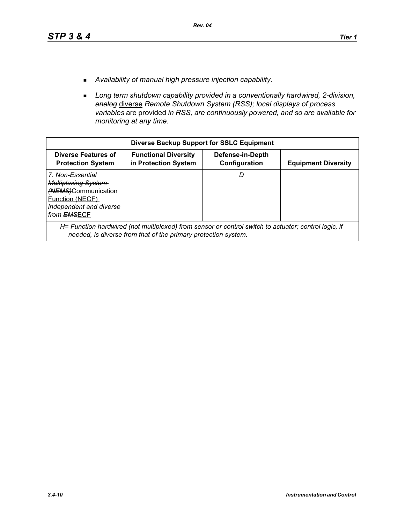- *Availability of manual high pressure injection capability.*
- *Long term shutdown capability provided in a conventionally hardwired, 2-division, analog* diverse *Remote Shutdown System (RSS); local displays of process variables* are provided *in RSS, are continuously powered, and so are available for monitoring at any time.*

| <b>Diverse Backup Support for SSLC Equipment</b>                                                                                                 |                                                                                                                                                                        |                                   |                            |  |
|--------------------------------------------------------------------------------------------------------------------------------------------------|------------------------------------------------------------------------------------------------------------------------------------------------------------------------|-----------------------------------|----------------------------|--|
| <b>Diverse Features of</b><br><b>Protection System</b>                                                                                           | <b>Functional Diversity</b><br>in Protection System                                                                                                                    | Defense-in-Depth<br>Configuration | <b>Equipment Diversity</b> |  |
| 7. Non-Essential<br><b>Multiplexing System</b><br>(NEMS)Communication<br><b>Function (NECF)</b><br>independent and diverse<br>from <b>EMSECF</b> |                                                                                                                                                                        | D                                 |                            |  |
|                                                                                                                                                  | H= Function hardwired (not multiplexed) from sensor or control switch to actuator; control logic, if<br>needed, is diverse from that of the primary protection system. |                                   |                            |  |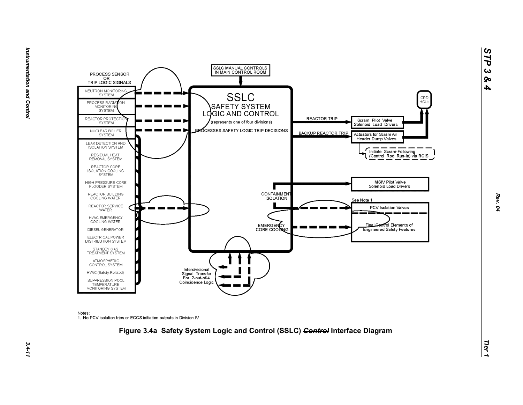



Notes:

1. No PCV isolation trips or ECCS initiation outputs in Division IV



*STP 3 & 4*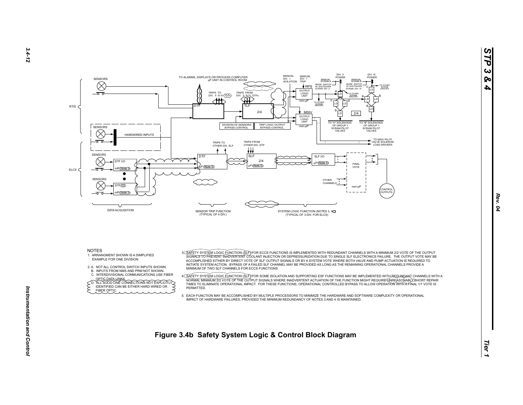

NOTES

- 1. ARRANGMENT SHOWN IS A SIMPLIFIEDEXAMPLE FOR ONE DIVISION
- 2. A. NOT ALL CONTROL SWITCH INPUTS SHOWN.
- B. INPUTS FROM NMS AND PRM NOT SHOWN.
- C. INTERDIVISIONAL COMMUNICATIONS USE FIBER

OPTIC DATA LINKS.<br>
CD. ALL SOLID LINE CONNECTIONS NOT EXPLICITLY<br>
FIDENTIFIED CAN BE EITHER HARD WIRED OR FIBER OPTIC.

3. <u>SAEETY SYSTEM LOGIC FUNCTION (SLF)</u> FOR ECCS FUNCTIONS IS IMPLEMENTED WITH REDUNDANT CHANNELS WITH A MINIMUM 2/2 VOTE OF THE OUTPUT VOTE<br>SIGNALS TO PREVENT INADVERTENT COOLANT INJECTION OR DEPRESSURIZATION DUE TO SINGL ACCOMPLISHED EITHER BY DIRECT VOTE OF SLF OUTPUT SIGNALS OR BY A SYSTEM VOTE WHERE BOTH VALVE AND PUMP ACTUATION IS REQUIRED TO INITIATE SYSTEM ACTION. BYPASS OF A FAILED SLF CHANNEL MAY BE PROVIDED AS LONG AS THE REMAINING OPERATIONAL CHANNELS PROVIDE A MINIMUM OF TWO SLF CHANNELS FOR ECCS FUNCTIONS.

A<u>C SAFETY SYSTEM LOGIC FUNCTION (SLF</u>)IFOR SOME ISOLATION AND SUPPORTING ESF FUNCTIONS MAY BE IMPLEMENTED WITH A<br>NORMALT MINIMUM 272 VOTE OF THE OUTPUT SIGNALE WHERE INADVERTENT ACTUATION OF THE FUNCTION MIGHT REQUIREASON **PERMITTED.** 

 5. EACH FUNCTION MAY BE ACCOMPLISHED BY MULTIPLE PROCESSORS TO MINIMIZE THE HARDWARE AND SOFTWARE COMPLEXITY OR OPERATIONALIMPACT OF HARDWARE FAILURES, PROVIDED THE MINIMUM REDUNDANCY OF NOTES 3 AND 4 IS MAINTAINED.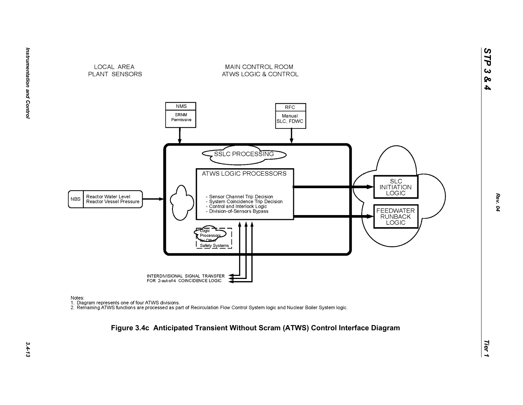





MAIN CONTROL ROOM

ATWS LOGIC & CONTROL

Notes:

nction<br>1. Diagram represents one of four ATWS divisions.<br>2. Remaining ATWS functions are processed as part of Recirculation Flow Control System logic and Nuclear Boiler System logic.

# *Tier 1* **Figure 3.4c Anticipated Transient Without Scram (ATWS) Control Interface Diagram**

*STP 3 & 4*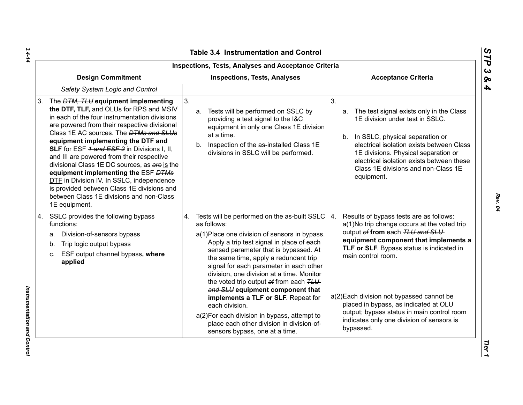| Inspections, Tests, Analyses and Acceptance Criteria                                                                                                                                                                                                                                                                                                                                                                                                                                                                                                                                                                            |                                                                                                                                                                                                                                                                                                                                                                                                                                                                                                                                                                                                              |                                                                                                                                                                                                                                                                                                                                                                                                                                           |  |  |
|---------------------------------------------------------------------------------------------------------------------------------------------------------------------------------------------------------------------------------------------------------------------------------------------------------------------------------------------------------------------------------------------------------------------------------------------------------------------------------------------------------------------------------------------------------------------------------------------------------------------------------|--------------------------------------------------------------------------------------------------------------------------------------------------------------------------------------------------------------------------------------------------------------------------------------------------------------------------------------------------------------------------------------------------------------------------------------------------------------------------------------------------------------------------------------------------------------------------------------------------------------|-------------------------------------------------------------------------------------------------------------------------------------------------------------------------------------------------------------------------------------------------------------------------------------------------------------------------------------------------------------------------------------------------------------------------------------------|--|--|
| <b>Design Commitment</b>                                                                                                                                                                                                                                                                                                                                                                                                                                                                                                                                                                                                        | <b>Inspections, Tests, Analyses</b>                                                                                                                                                                                                                                                                                                                                                                                                                                                                                                                                                                          | <b>Acceptance Criteria</b>                                                                                                                                                                                                                                                                                                                                                                                                                |  |  |
| Safety System Logic and Control                                                                                                                                                                                                                                                                                                                                                                                                                                                                                                                                                                                                 |                                                                                                                                                                                                                                                                                                                                                                                                                                                                                                                                                                                                              |                                                                                                                                                                                                                                                                                                                                                                                                                                           |  |  |
| The <i>DTM, TLU</i> equipment implementing<br>3.<br>the DTF, TLF, and OLUs for RPS and MSIV<br>in each of the four instrumentation divisions<br>are powered from their respective divisional<br>Class 1E AC sources. The <b>DTMs and SLUs</b><br>equipment implementing the DTF and<br>SLF for ESF 1 and ESF 2 in Divisions I, II,<br>and III are powered from their respective<br>divisional Class 1E DC sources, as are is the<br>equipment implementing the ESF DTMs<br>DTF in Division IV. In SSLC, independence<br>is provided between Class 1E divisions and<br>between Class 1E divisions and non-Class<br>1E equipment. | 3 <sub>1</sub><br>Tests will be performed on SSLC-by<br>a.<br>providing a test signal to the I&C<br>equipment in only one Class 1E division<br>at a time.<br>b. Inspection of the as-installed Class 1E<br>divisions in SSLC will be performed.                                                                                                                                                                                                                                                                                                                                                              | 3 <sub>1</sub><br>The test signal exists only in the Class<br>a.<br>1E division under test in SSLC.<br>b. In SSLC, physical separation or<br>electrical isolation exists between Class<br>1E divisions. Physical separation or<br>electrical isolation exists between these<br>Class 1E divisions and non-Class 1E<br>equipment.                                                                                                          |  |  |
| SSLC provides the following bypass<br>4.<br>functions:<br>Division-of-sensors bypass<br>a.<br>Trip logic output bypass<br>b.<br>ESF output channel bypass, where<br>C.<br>applied                                                                                                                                                                                                                                                                                                                                                                                                                                               | 4. Tests will be performed on the as-built SSLC<br>as follows:<br>a(1) Place one division of sensors in bypass.<br>Apply a trip test signal in place of each<br>sensed parameter that is bypassed. At<br>the same time, apply a redundant trip<br>signal for each parameter in each other<br>division, one division at a time. Monitor<br>the voted trip output at from each TLU<br>and SLU equipment component that<br>implements a TLF or SLF. Repeat for<br>each division.<br>a(2) For each division in bypass, attempt to<br>place each other division in division-of-<br>sensors bypass, one at a time. | 4.<br>Results of bypass tests are as follows:<br>a(1)No trip change occurs at the voted trip<br>output of from each TLU and SLU<br>equipment component that implements a<br>TLF or SLF. Bypass status is indicated in<br>main control room.<br>a(2) Each division not bypassed cannot be<br>placed in bypass, as indicated at OLU<br>output; bypass status in main control room<br>indicates only one division of sensors is<br>bypassed. |  |  |

*Rev. 04*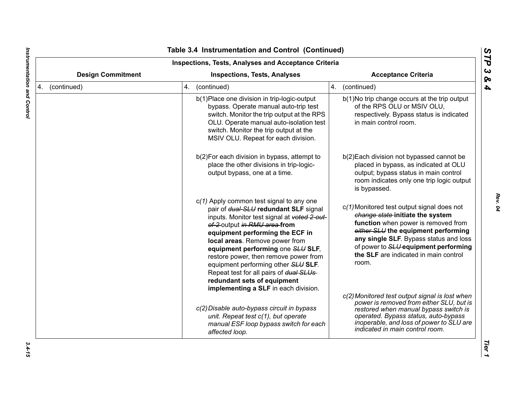| <b>Inspections, Tests, Analyses and Acceptance Criteria</b><br><b>Design Commitment</b><br><b>Inspections, Tests, Analyses</b><br><b>Acceptance Criteria</b> |                                                                                                                                                                                                                                                                                                                                                                                                                                                                               |                                                                                                                                                                                                                                                                                                  |
|--------------------------------------------------------------------------------------------------------------------------------------------------------------|-------------------------------------------------------------------------------------------------------------------------------------------------------------------------------------------------------------------------------------------------------------------------------------------------------------------------------------------------------------------------------------------------------------------------------------------------------------------------------|--------------------------------------------------------------------------------------------------------------------------------------------------------------------------------------------------------------------------------------------------------------------------------------------------|
| 4. (continued)                                                                                                                                               | 4. (continued)                                                                                                                                                                                                                                                                                                                                                                                                                                                                | 4. (continued)                                                                                                                                                                                                                                                                                   |
|                                                                                                                                                              | b(1) Place one division in trip-logic-output<br>bypass. Operate manual auto-trip test<br>switch. Monitor the trip output at the RPS<br>OLU. Operate manual auto-isolation test<br>switch. Monitor the trip output at the<br>MSIV OLU. Repeat for each division.                                                                                                                                                                                                               | b(1)No trip change occurs at the trip output<br>of the RPS OLU or MSIV OLU,<br>respectively. Bypass status is indicated<br>in main control room.                                                                                                                                                 |
|                                                                                                                                                              | b(2) For each division in bypass, attempt to<br>place the other divisions in trip-logic-<br>output bypass, one at a time.                                                                                                                                                                                                                                                                                                                                                     | b(2) Each division not bypassed cannot be<br>placed in bypass, as indicated at OLU<br>output; bypass status in main control<br>room indicates only one trip logic output<br>is bypassed.                                                                                                         |
|                                                                                                                                                              | $c(1)$ Apply common test signal to any one<br>pair of dual-SLU redundant SLF signal<br>inputs. Monitor test signal at voted 2-out-<br>of-2 output in RMU area from<br>equipment performing the ECF in<br>local areas. Remove power from<br>equipment performing one SLU SLF,<br>restore power, then remove power from<br>equipment performing other SLU SLF.<br>Repeat test for all pairs of dual SLUs<br>redundant sets of equipment<br>implementing a SLF in each division. | c(1) Monitored test output signal does not<br>change state-initiate the system<br>function when power is removed from<br>either SLU the equipment performing<br>any single SLF. Bypass status and loss<br>of power to SLU equipment performing<br>the SLF are indicated in main control<br>room. |
|                                                                                                                                                              | c(2) Disable auto-bypass circuit in bypass<br>unit. Repeat test c(1), but operate<br>manual ESF loop bypass switch for each<br>affected loop.                                                                                                                                                                                                                                                                                                                                 | c(2) Monitored test output signal is lost when<br>power is removed from either SLU, but is<br>restored when manual bypass switch is<br>operated. Bypass status, auto-bypass<br>inoperable, and loss of power to SLU are<br>indicated in main control room.                                       |

 $\blacksquare$ 

 $3.4 - 15$ 

*Rev. 04*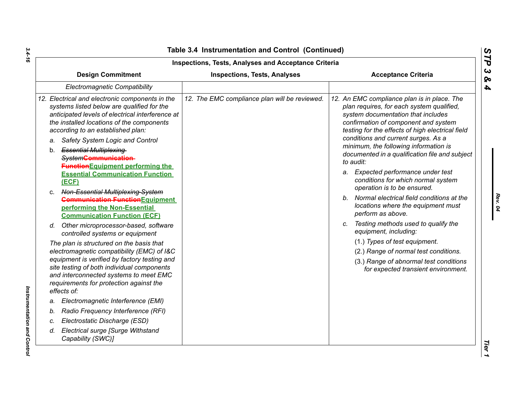| Inspections, Tests, Analyses and Acceptance Criteria                                                                                                                                                                                                                                                                                                                                                                              |                                               |                                                                                                                                                                                                                                                                                                                                                                                                                                                       |  |  |
|-----------------------------------------------------------------------------------------------------------------------------------------------------------------------------------------------------------------------------------------------------------------------------------------------------------------------------------------------------------------------------------------------------------------------------------|-----------------------------------------------|-------------------------------------------------------------------------------------------------------------------------------------------------------------------------------------------------------------------------------------------------------------------------------------------------------------------------------------------------------------------------------------------------------------------------------------------------------|--|--|
| <b>Design Commitment</b>                                                                                                                                                                                                                                                                                                                                                                                                          | <b>Inspections, Tests, Analyses</b>           | <b>Acceptance Criteria</b>                                                                                                                                                                                                                                                                                                                                                                                                                            |  |  |
| <b>Electromagnetic Compatibility</b>                                                                                                                                                                                                                                                                                                                                                                                              |                                               |                                                                                                                                                                                                                                                                                                                                                                                                                                                       |  |  |
| 12. Electrical and electronic components in the<br>systems listed below are qualified for the<br>anticipated levels of electrical interference at<br>the installed locations of the components<br>according to an established plan:<br>Safety System Logic and Control<br>a.<br>b. Essential Multiplexing-<br>SystemCommunication<br><b>Function</b> Equipment performing the<br><b>Essential Communication Function</b><br>(ECF) | 12. The EMC compliance plan will be reviewed. | 12. An EMC compliance plan is in place. The<br>plan requires, for each system qualified,<br>system documentation that includes<br>confirmation of component and system<br>testing for the effects of high electrical field<br>conditions and current surges. As a<br>minimum, the following information is<br>documented in a qualification file and subject<br>to audit:<br>a. Expected performance under test<br>conditions for which normal system |  |  |
| Non-Essential Multiplexing-System<br>C.<br><b>Communication Function</b> Equipment<br>performing the Non-Essential<br><b>Communication Function (ECF)</b>                                                                                                                                                                                                                                                                         |                                               | operation is to be ensured.<br>b. Normal electrical field conditions at the<br>locations where the equipment must<br>perform as above.                                                                                                                                                                                                                                                                                                                |  |  |
| d. Other microprocessor-based, software<br>controlled systems or equipment                                                                                                                                                                                                                                                                                                                                                        |                                               | c. Testing methods used to qualify the<br>equipment, including:                                                                                                                                                                                                                                                                                                                                                                                       |  |  |
| The plan is structured on the basis that<br>electromagnetic compatibility (EMC) of I&C                                                                                                                                                                                                                                                                                                                                            |                                               | (1.) Types of test equipment.<br>(2.) Range of normal test conditions.                                                                                                                                                                                                                                                                                                                                                                                |  |  |
| equipment is verified by factory testing and<br>site testing of both individual components<br>and interconnected systems to meet EMC<br>requirements for protection against the<br>effects of:                                                                                                                                                                                                                                    |                                               | (3.) Range of abnormal test conditions<br>for expected transient environment.                                                                                                                                                                                                                                                                                                                                                                         |  |  |
| Electromagnetic Interference (EMI)<br>a.                                                                                                                                                                                                                                                                                                                                                                                          |                                               |                                                                                                                                                                                                                                                                                                                                                                                                                                                       |  |  |
| Radio Frequency Interference (RFI)<br>b.                                                                                                                                                                                                                                                                                                                                                                                          |                                               |                                                                                                                                                                                                                                                                                                                                                                                                                                                       |  |  |
| Electrostatic Discharge (ESD)<br>C.                                                                                                                                                                                                                                                                                                                                                                                               |                                               |                                                                                                                                                                                                                                                                                                                                                                                                                                                       |  |  |
| Electrical surge [Surge Withstand<br>d.<br>Capability (SWC)]                                                                                                                                                                                                                                                                                                                                                                      |                                               |                                                                                                                                                                                                                                                                                                                                                                                                                                                       |  |  |

*Rev. 04*